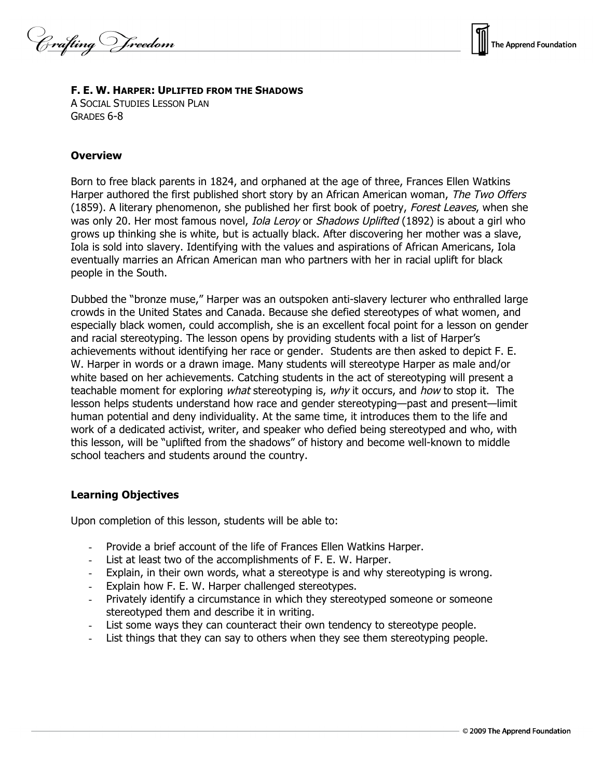Crafting Vreedom



### **F. E. W. HARPER: UPLIFTED FROM THE SHADOWS**

A SOCIAL STUDIES LESSON PLAN GRADES 6-8

### **Overview**

Born to free black parents in 1824, and orphaned at the age of three, Frances Ellen Watkins Harper authored the first published short story by an African American woman, The Two Offers (1859). A literary phenomenon, she published her first book of poetry, Forest Leaves, when she was only 20. Her most famous novel, *Iola Leroy* or Shadows Uplifted (1892) is about a girl who grows up thinking she is white, but is actually black. After discovering her mother was a slave, Iola is sold into slavery. Identifying with the values and aspirations of African Americans, Iola eventually marries an African American man who partners with her in racial uplift for black people in the South.

Dubbed the "bronze muse," Harper was an outspoken anti-slavery lecturer who enthralled large crowds in the United States and Canada. Because she defied stereotypes of what women, and especially black women, could accomplish, she is an excellent focal point for a lesson on gender and racial stereotyping. The lesson opens by providing students with a list of Harper's achievements without identifying her race or gender. Students are then asked to depict F. E. W. Harper in words or a drawn image. Many students will stereotype Harper as male and/or white based on her achievements. Catching students in the act of stereotyping will present a teachable moment for exploring *what* stereotyping is, why it occurs, and how to stop it. The lesson helps students understand how race and gender stereotyping—past and present—limit human potential and deny individuality. At the same time, it introduces them to the life and work of a dedicated activist, writer, and speaker who defied being stereotyped and who, with this lesson, will be "uplifted from the shadows" of history and become well-known to middle school teachers and students around the country.

# **Learning Objectives**

Upon completion of this lesson, students will be able to:

- Provide a brief account of the life of Frances Ellen Watkins Harper.
- List at least two of the accomplishments of F. E. W. Harper.
- Explain, in their own words, what a stereotype is and why stereotyping is wrong.
- Explain how F. E. W. Harper challenged stereotypes.
- Privately identify a circumstance in which they stereotyped someone or someone stereotyped them and describe it in writing.
- List some ways they can counteract their own tendency to stereotype people.
- List things that they can say to others when they see them stereotyping people.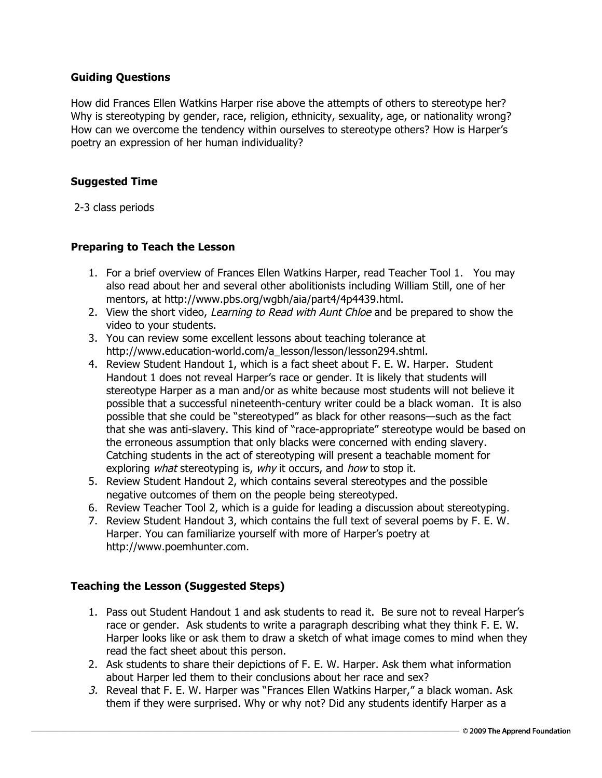# **Guiding Questions**

How did Frances Ellen Watkins Harper rise above the attempts of others to stereotype her? Why is stereotyping by gender, race, religion, ethnicity, sexuality, age, or nationality wrong? How can we overcome the tendency within ourselves to stereotype others? How is Harper's poetry an expression of her human individuality?

# **Suggested Time**

2-3 class periods

# **Preparing to Teach the Lesson**

- 1. For a brief overview of Frances Ellen Watkins Harper, read Teacher Tool 1. You may also read about her and several other abolitionists including William Still, one of her mentors, at http://www.pbs.org/wgbh/aia/part4/4p4439.html.
- 2. View the short video, Learning to Read with Aunt Chloe and be prepared to show the video to your students.
- 3. You can review some excellent lessons about teaching tolerance at http://www.education-world.com/a\_lesson/lesson/lesson294.shtml.
- 4. Review Student Handout 1, which is a fact sheet about F. E. W. Harper. Student Handout 1 does not reveal Harper's race or gender. It is likely that students will stereotype Harper as a man and/or as white because most students will not believe it possible that a successful nineteenth-century writer could be a black woman. It is also possible that she could be "stereotyped" as black for other reasons—such as the fact that she was anti-slavery. This kind of "race-appropriate" stereotype would be based on the erroneous assumption that only blacks were concerned with ending slavery. Catching students in the act of stereotyping will present a teachable moment for exploring what stereotyping is, why it occurs, and how to stop it.
- 5. Review Student Handout 2, which contains several stereotypes and the possible negative outcomes of them on the people being stereotyped.
- 6. Review Teacher Tool 2, which is a guide for leading a discussion about stereotyping.
- 7. Review Student Handout 3, which contains the full text of several poems by F. E. W. Harper. You can familiarize yourself with more of Harper's poetry at http://www.poemhunter.com.

# **Teaching the Lesson (Suggested Steps)**

- 1. Pass out Student Handout 1 and ask students to read it. Be sure not to reveal Harper's race or gender. Ask students to write a paragraph describing what they think F. E. W. Harper looks like or ask them to draw a sketch of what image comes to mind when they read the fact sheet about this person.
- 2. Ask students to share their depictions of F. E. W. Harper. Ask them what information about Harper led them to their conclusions about her race and sex?
- 3. Reveal that F. E. W. Harper was "Frances Ellen Watkins Harper," a black woman. Ask them if they were surprised. Why or why not? Did any students identify Harper as a